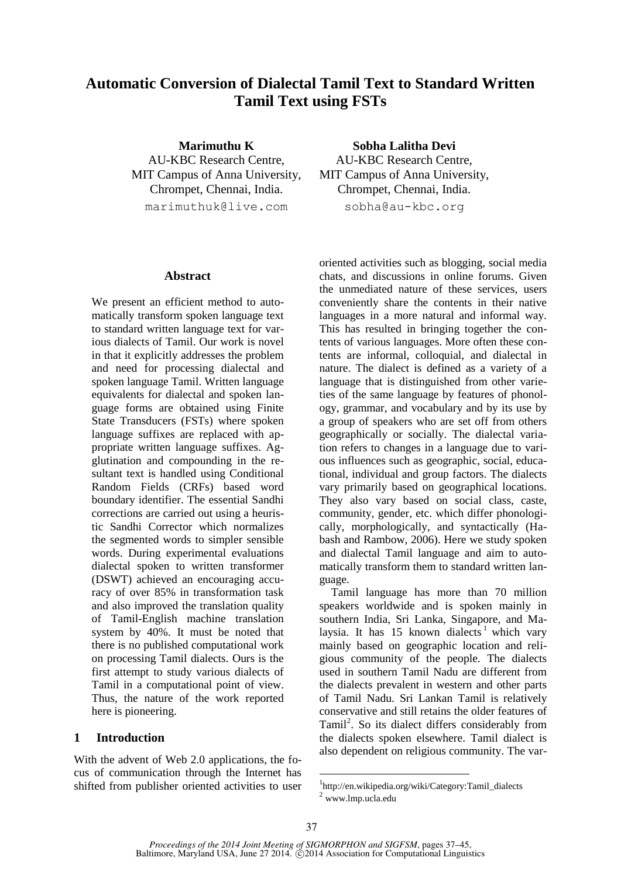# **Automatic Conversion of Dialectal Tamil Text to Standard Written Tamil Text using FSTs**

**Marimuthu K** AU-KBC Research Centre, MIT Campus of Anna University, Chrompet, Chennai, India. marimuthuk@live.com

#### **Abstract**

We present an efficient method to automatically transform spoken language text to standard written language text for various dialects of Tamil. Our work is novel in that it explicitly addresses the problem and need for processing dialectal and spoken language Tamil. Written language equivalents for dialectal and spoken language forms are obtained using Finite State Transducers (FSTs) where spoken language suffixes are replaced with appropriate written language suffixes. Agglutination and compounding in the resultant text is handled using Conditional Random Fields (CRFs) based word boundary identifier. The essential Sandhi corrections are carried out using a heuristic Sandhi Corrector which normalizes the segmented words to simpler sensible words. During experimental evaluations dialectal spoken to written transformer (DSWT) achieved an encouraging accuracy of over 85% in transformation task and also improved the translation quality of Tamil-English machine translation system by 40%. It must be noted that there is no published computational work on processing Tamil dialects. Ours is the first attempt to study various dialects of Tamil in a computational point of view. Thus, the nature of the work reported here is pioneering.

#### **1 Introduction**

With the advent of Web 2.0 applications, the focus of communication through the Internet has shifted from publisher oriented activities to user

**Sobha Lalitha Devi** AU-KBC Research Centre, MIT Campus of Anna University, Chrompet, Chennai, India. sobha@au-kbc.org

oriented activities such as blogging, social media chats, and discussions in online forums. Given the unmediated nature of these services, users conveniently share the contents in their native languages in a more natural and informal way. This has resulted in bringing together the contents of various languages. More often these contents are informal, colloquial, and dialectal in nature. The dialect is defined as a variety of a language that is distinguished from other varieties of the same language by features of phonology, grammar, and vocabulary and by its use by a group of speakers who are set off from others geographically or socially. The dialectal variation refers to changes in a language due to various influences such as geographic, social, educational, individual and group factors. The dialects vary primarily based on geographical locations. They also vary based on social class, caste, community, gender, etc. which differ phonologically, morphologically, and syntactically (Habash and Rambow, 2006). Here we study spoken and dialectal Tamil language and aim to automatically transform them to standard written language.

Tamil language has more than 70 million speakers worldwide and is spoken mainly in southern India, Sri Lanka, Singapore, and Malaysia. It has  $15$  known dialects<sup>1</sup> which vary mainly based on geographic location and religious community of the people. The dialects used in southern Tamil Nadu are different from the dialects prevalent in western and other parts of Tamil Nadu. Sri Lankan Tamil is relatively conservative and still retains the older features of Tamil<sup>2</sup>. So its dialect differs considerably from the dialects spoken elsewhere. Tamil dialect is also dependent on religious community. The var-

<sup>1</sup> http://en.wikipedia.org/wiki/Category:Tamil\_dialects <sup>2</sup> www.lmp.ucla.edu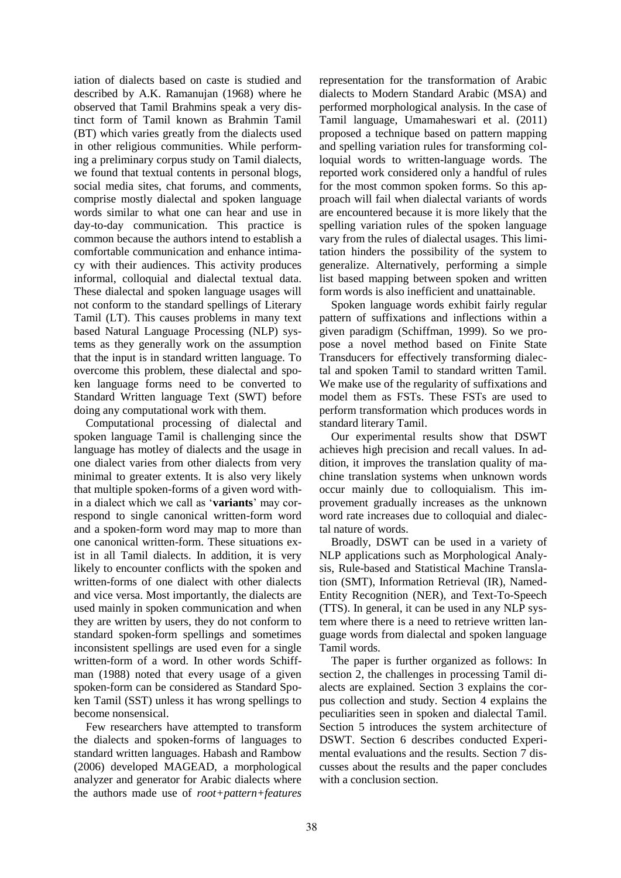iation of dialects based on caste is studied and described by A.K. Ramanujan (1968) where he observed that Tamil Brahmins speak a very distinct form of Tamil known as Brahmin Tamil (BT) which varies greatly from the dialects used in other religious communities. While performing a preliminary corpus study on Tamil dialects, we found that textual contents in personal blogs, social media sites, chat forums, and comments, comprise mostly dialectal and spoken language words similar to what one can hear and use in day-to-day communication. This practice is common because the authors intend to establish a comfortable communication and enhance intimacy with their audiences. This activity produces informal, colloquial and dialectal textual data. These dialectal and spoken language usages will not conform to the standard spellings of Literary Tamil (LT). This causes problems in many text based Natural Language Processing (NLP) systems as they generally work on the assumption that the input is in standard written language. To overcome this problem, these dialectal and spoken language forms need to be converted to Standard Written language Text (SWT) before doing any computational work with them.

Computational processing of dialectal and spoken language Tamil is challenging since the language has motley of dialects and the usage in one dialect varies from other dialects from very minimal to greater extents. It is also very likely that multiple spoken-forms of a given word within a dialect which we call as '**variants**' may correspond to single canonical written-form word and a spoken-form word may map to more than one canonical written-form. These situations exist in all Tamil dialects. In addition, it is very likely to encounter conflicts with the spoken and written-forms of one dialect with other dialects and vice versa. Most importantly, the dialects are used mainly in spoken communication and when they are written by users, they do not conform to standard spoken-form spellings and sometimes inconsistent spellings are used even for a single written-form of a word. In other words Schiffman (1988) noted that every usage of a given spoken-form can be considered as Standard Spoken Tamil (SST) unless it has wrong spellings to become nonsensical.

Few researchers have attempted to transform the dialects and spoken-forms of languages to standard written languages. Habash and Rambow (2006) developed MAGEAD, a morphological analyzer and generator for Arabic dialects where the authors made use of *root+pattern+features* representation for the transformation of Arabic dialects to Modern Standard Arabic (MSA) and performed morphological analysis. In the case of Tamil language, Umamaheswari et al. (2011) proposed a technique based on pattern mapping and spelling variation rules for transforming colloquial words to written-language words. The reported work considered only a handful of rules for the most common spoken forms. So this approach will fail when dialectal variants of words are encountered because it is more likely that the spelling variation rules of the spoken language vary from the rules of dialectal usages. This limitation hinders the possibility of the system to generalize. Alternatively, performing a simple list based mapping between spoken and written form words is also inefficient and unattainable.

Spoken language words exhibit fairly regular pattern of suffixations and inflections within a given paradigm (Schiffman, 1999). So we propose a novel method based on Finite State Transducers for effectively transforming dialectal and spoken Tamil to standard written Tamil. We make use of the regularity of suffixations and model them as FSTs. These FSTs are used to perform transformation which produces words in standard literary Tamil.

Our experimental results show that DSWT achieves high precision and recall values. In addition, it improves the translation quality of machine translation systems when unknown words occur mainly due to colloquialism. This improvement gradually increases as the unknown word rate increases due to colloquial and dialectal nature of words.

Broadly, DSWT can be used in a variety of NLP applications such as Morphological Analysis, Rule-based and Statistical Machine Translation (SMT), Information Retrieval (IR), Named-Entity Recognition (NER), and Text-To-Speech (TTS). In general, it can be used in any NLP system where there is a need to retrieve written language words from dialectal and spoken language Tamil words.

The paper is further organized as follows: In section 2, the challenges in processing Tamil dialects are explained. Section 3 explains the corpus collection and study. Section 4 explains the peculiarities seen in spoken and dialectal Tamil. Section 5 introduces the system architecture of DSWT. Section 6 describes conducted Experimental evaluations and the results. Section 7 discusses about the results and the paper concludes with a conclusion section.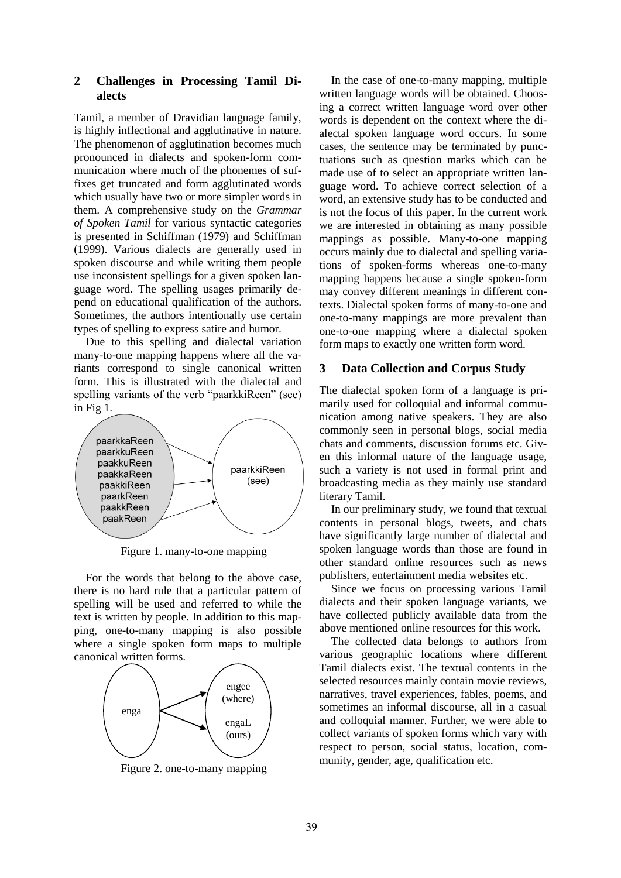# **2 Challenges in Processing Tamil Dialects**

Tamil, a member of Dravidian language family, is highly inflectional and agglutinative in nature. The phenomenon of agglutination becomes much pronounced in dialects and spoken-form communication where much of the phonemes of suffixes get truncated and form agglutinated words which usually have two or more simpler words in them. A comprehensive study on the *Grammar of Spoken Tamil* for various syntactic categories is presented in Schiffman (1979) and Schiffman (1999). Various dialects are generally used in spoken discourse and while writing them people use inconsistent spellings for a given spoken language word. The spelling usages primarily depend on educational qualification of the authors. Sometimes, the authors intentionally use certain types of spelling to express satire and humor.

Due to this spelling and dialectal variation many-to-one mapping happens where all the variants correspond to single canonical written form. This is illustrated with the dialectal and spelling variants of the verb "paarkkiReen" (see) in Fig 1.



Figure 1. many-to-one mapping

For the words that belong to the above case, there is no hard rule that a particular pattern of spelling will be used and referred to while the text is written by people. In addition to this mapping, one-to-many mapping is also possible where a single spoken form maps to multiple canonical written forms.



Figure 2. one-to-many mapping

In the case of one-to-many mapping, multiple written language words will be obtained. Choosing a correct written language word over other words is dependent on the context where the dialectal spoken language word occurs. In some cases, the sentence may be terminated by punctuations such as question marks which can be made use of to select an appropriate written language word. To achieve correct selection of a word, an extensive study has to be conducted and is not the focus of this paper. In the current work we are interested in obtaining as many possible mappings as possible. Many-to-one mapping occurs mainly due to dialectal and spelling variations of spoken-forms whereas one-to-many mapping happens because a single spoken-form may convey different meanings in different contexts. Dialectal spoken forms of many-to-one and one-to-many mappings are more prevalent than one-to-one mapping where a dialectal spoken form maps to exactly one written form word.

## **3 Data Collection and Corpus Study**

The dialectal spoken form of a language is primarily used for colloquial and informal communication among native speakers. They are also commonly seen in personal blogs, social media chats and comments, discussion forums etc. Given this informal nature of the language usage, such a variety is not used in formal print and broadcasting media as they mainly use standard literary Tamil.

In our preliminary study, we found that textual contents in personal blogs, tweets, and chats have significantly large number of dialectal and spoken language words than those are found in other standard online resources such as news publishers, entertainment media websites etc.

Since we focus on processing various Tamil dialects and their spoken language variants, we have collected publicly available data from the above mentioned online resources for this work.

The collected data belongs to authors from various geographic locations where different Tamil dialects exist. The textual contents in the selected resources mainly contain movie reviews, narratives, travel experiences, fables, poems, and sometimes an informal discourse, all in a casual and colloquial manner. Further, we were able to collect variants of spoken forms which vary with respect to person, social status, location, community, gender, age, qualification etc.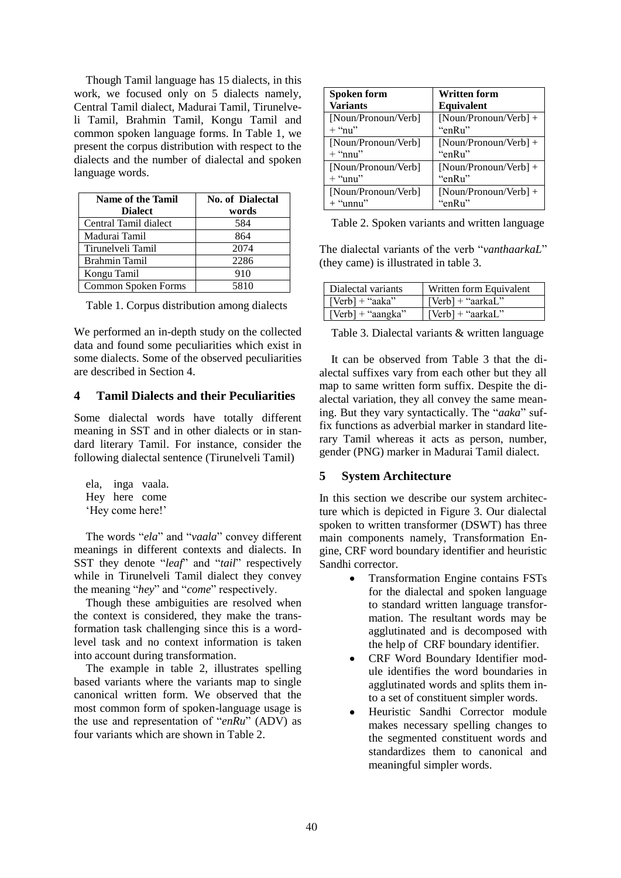Though Tamil language has 15 dialects, in this work, we focused only on 5 dialects namely, Central Tamil dialect, Madurai Tamil, Tirunelveli Tamil, Brahmin Tamil, Kongu Tamil and common spoken language forms. In Table 1, we present the corpus distribution with respect to the dialects and the number of dialectal and spoken language words.

| <b>Name of the Tamil</b> | <b>No. of Dialectal</b> |
|--------------------------|-------------------------|
| <b>Dialect</b>           | words                   |
| Central Tamil dialect    | 584                     |
| Madurai Tamil            | 864                     |
| Tirunelveli Tamil        | 2074                    |
| <b>Brahmin Tamil</b>     | 2286                    |
| Kongu Tamil              | 910                     |
| Common Spoken Forms      | 5810                    |

| Table 1. Corpus distribution among dialects |  |  |  |
|---------------------------------------------|--|--|--|
|---------------------------------------------|--|--|--|

We performed an in-depth study on the collected data and found some peculiarities which exist in some dialects. Some of the observed peculiarities are described in Section 4.

#### **4 Tamil Dialects and their Peculiarities**

Some dialectal words have totally different meaning in SST and in other dialects or in standard literary Tamil. For instance, consider the following dialectal sentence (Tirunelveli Tamil)

ela, inga vaala. Hey here come 'Hey come here!'

The words "*ela*" and "*vaala*" convey different meanings in different contexts and dialects. In SST they denote "*leaf*" and "*tail*" respectively while in Tirunelveli Tamil dialect they convey the meaning "*hey*" and "*come*" respectively.

Though these ambiguities are resolved when the context is considered, they make the transformation task challenging since this is a wordlevel task and no context information is taken into account during transformation.

The example in table 2, illustrates spelling based variants where the variants map to single canonical written form. We observed that the most common form of spoken-language usage is the use and representation of "*enRu*" (ADV) as four variants which are shown in Table 2.

| Spoken form<br><b>Variants</b>   | <b>Written form</b><br>Equivalent |
|----------------------------------|-----------------------------------|
| [Noun/Pronoun/Verb]<br>$+$ "nu"  | $[Noun/Pronom/Verb] +$<br>"enRu"  |
| [Noun/Pronoun/Verb]              | $[Noun/Pronom/Verb] +$            |
| $+$ "nnu"<br>[Noun/Pronoun/Verb] | "enRu"<br>[Noun/Pronoun/Verb] +   |
| $+$ "unu"                        | "enRu"                            |
| [Noun/Pronoun/Verb]              | [Noun/Pronoun/Verb] +             |
| $+$ "unnu"                       | "enRu"                            |

Table 2. Spoken variants and written language

The dialectal variants of the verb "*vanthaarkaL*" (they came) is illustrated in table 3.

| Dialectal variants                     | Written form Equivalent |
|----------------------------------------|-------------------------|
| $\sqrt{\text{Vert}} + \text{``aaka''}$ | [Verb] + "aarkaL"       |
| $\vert$ [Verb] + "aangka"              | $[Verb] + "aarkal"$     |

Table 3. Dialectal variants & written language

It can be observed from Table 3 that the dialectal suffixes vary from each other but they all map to same written form suffix. Despite the dialectal variation, they all convey the same meaning. But they vary syntactically. The "*aaka*" suffix functions as adverbial marker in standard literary Tamil whereas it acts as person, number, gender (PNG) marker in Madurai Tamil dialect.

## **5 System Architecture**

In this section we describe our system architecture which is depicted in Figure 3. Our dialectal spoken to written transformer (DSWT) has three main components namely, Transformation Engine, CRF word boundary identifier and heuristic Sandhi corrector.

- Transformation Engine contains FSTs  $\bullet$ for the dialectal and spoken language to standard written language transformation. The resultant words may be agglutinated and is decomposed with the help of CRF boundary identifier.
- CRF Word Boundary Identifier module identifies the word boundaries in agglutinated words and splits them into a set of constituent simpler words.
- Heuristic Sandhi Corrector module makes necessary spelling changes to the segmented constituent words and standardizes them to canonical and meaningful simpler words.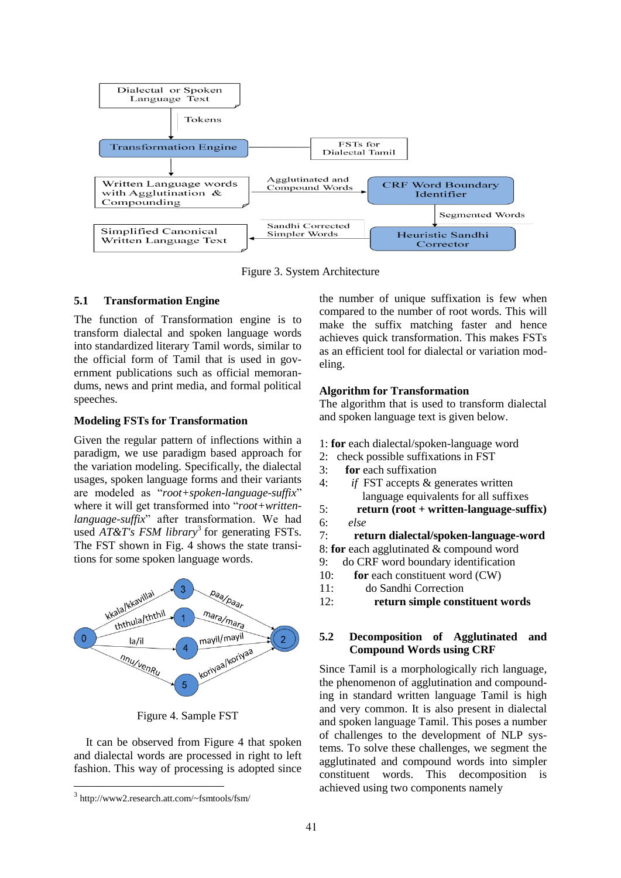

Figure 3. System Architecture

## **5.1 Transformation Engine**

The function of Transformation engine is to transform dialectal and spoken language words into standardized literary Tamil words, similar to the official form of Tamil that is used in government publications such as official memorandums, news and print media, and formal political speeches.

# **Modeling FSTs for Transformation**

Given the regular pattern of inflections within a paradigm, we use paradigm based approach for the variation modeling. Specifically, the dialectal usages, spoken language forms and their variants are modeled as "*root+spoken-language-suffix*" where it will get transformed into "*root+writtenlanguage-suffix*" after transformation. We had used *AT&T's FSM library*<sup>3</sup> for generating FSTs. The FST shown in Fig. 4 shows the state transitions for some spoken language words.



Figure 4. Sample FST

It can be observed from Figure 4 that spoken and dialectal words are processed in right to left fashion. This way of processing is adopted since

the number of unique suffixation is few when compared to the number of root words. This will make the suffix matching faster and hence achieves quick transformation. This makes FSTs as an efficient tool for dialectal or variation modeling.

# **Algorithm for Transformation**

The algorithm that is used to transform dialectal and spoken language text is given below.

- 1: **for** each dialectal/spoken-language word
- 2: check possible suffixations in FST
- 3: **for** each suffixation
- 4: *if* FST accepts & generates written language equivalents for all suffixes
- 5: **return (root + written-language-suffix)** 6: *else*
- 7: **return dialectal/spoken-language-word**

8: **for** each agglutinated & compound word

- 9: do CRF word boundary identification
- 10: **for** each constituent word (CW)
- 11: do Sandhi Correction
- 12: **return simple constituent words**

## **5.2 Decomposition of Agglutinated and Compound Words using CRF**

Since Tamil is a morphologically rich language, the phenomenon of agglutination and compounding in standard written language Tamil is high and very common. It is also present in dialectal and spoken language Tamil. This poses a number of challenges to the development of NLP systems. To solve these challenges, we segment the agglutinated and compound words into simpler constituent words. This decomposition is achieved using two components namely

<sup>3</sup> http://www2.research.att.com/~fsmtools/fsm/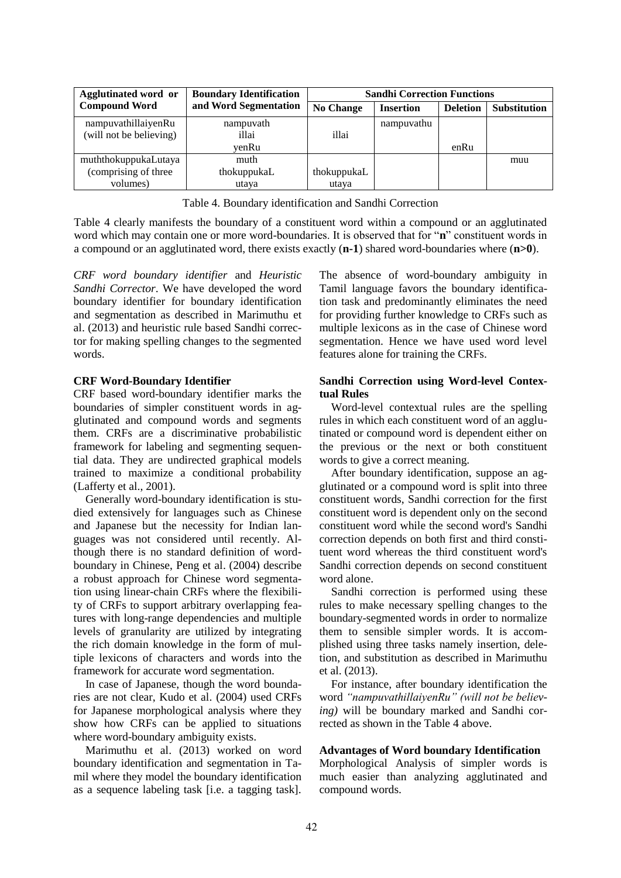| <b>Agglutinated word or</b> | <b>Boundary Identification</b> | <b>Sandhi Correction Functions</b> |                  |                 |                     |
|-----------------------------|--------------------------------|------------------------------------|------------------|-----------------|---------------------|
| <b>Compound Word</b>        | and Word Segmentation          | <b>No Change</b>                   | <b>Insertion</b> | <b>Deletion</b> | <b>Substitution</b> |
| nampuvathillaiyenRu         | nampuvath                      |                                    | nampuvathu       |                 |                     |
| (will not be believing)     | illai                          | illai                              |                  |                 |                     |
|                             | venRu                          |                                    |                  | enRu            |                     |
| muththokuppukaLutaya        | muth                           |                                    |                  |                 | muu                 |
| (comprising of three        | thokuppukaL                    | thokuppukaL                        |                  |                 |                     |
| volumes)                    | utaya                          | utaya                              |                  |                 |                     |

Table 4. Boundary identification and Sandhi Correction

Table 4 clearly manifests the boundary of a constituent word within a compound or an agglutinated word which may contain one or more word-boundaries. It is observed that for "**n**" constituent words in a compound or an agglutinated word, there exists exactly (**n-1**) shared word-boundaries where (**n>0**).

*CRF word boundary identifier* and *Heuristic Sandhi Corrector*. We have developed the word boundary identifier for boundary identification and segmentation as described in Marimuthu et al. (2013) and heuristic rule based Sandhi corrector for making spelling changes to the segmented words.

## **CRF Word-Boundary Identifier**

CRF based word-boundary identifier marks the boundaries of simpler constituent words in agglutinated and compound words and segments them. CRFs are a discriminative probabilistic framework for labeling and segmenting sequential data. They are undirected graphical models trained to maximize a conditional probability (Lafferty et al., 2001).

Generally word-boundary identification is studied extensively for languages such as Chinese and Japanese but the necessity for Indian languages was not considered until recently. Although there is no standard definition of wordboundary in Chinese, Peng et al. (2004) describe a robust approach for Chinese word segmentation using linear-chain CRFs where the flexibility of CRFs to support arbitrary overlapping features with long-range dependencies and multiple levels of granularity are utilized by integrating the rich domain knowledge in the form of multiple lexicons of characters and words into the framework for accurate word segmentation.

In case of Japanese, though the word boundaries are not clear, Kudo et al. (2004) used CRFs for Japanese morphological analysis where they show how CRFs can be applied to situations where word-boundary ambiguity exists.

Marimuthu et al. (2013) worked on word boundary identification and segmentation in Tamil where they model the boundary identification as a sequence labeling task [i.e. a tagging task].

The absence of word-boundary ambiguity in Tamil language favors the boundary identification task and predominantly eliminates the need for providing further knowledge to CRFs such as multiple lexicons as in the case of Chinese word segmentation. Hence we have used word level features alone for training the CRFs.

# **Sandhi Correction using Word-level Contextual Rules**

Word-level contextual rules are the spelling rules in which each constituent word of an agglutinated or compound word is dependent either on the previous or the next or both constituent words to give a correct meaning.

After boundary identification, suppose an agglutinated or a compound word is split into three constituent words, Sandhi correction for the first constituent word is dependent only on the second constituent word while the second word's Sandhi correction depends on both first and third constituent word whereas the third constituent word's Sandhi correction depends on second constituent word alone.

Sandhi correction is performed using these rules to make necessary spelling changes to the boundary-segmented words in order to normalize them to sensible simpler words. It is accomplished using three tasks namely insertion, deletion, and substitution as described in Marimuthu et al. (2013).

For instance, after boundary identification the word *"nampuvathillaiyenRu" (will not be believing)* will be boundary marked and Sandhi corrected as shown in the Table 4 above.

## **Advantages of Word boundary Identification**

Morphological Analysis of simpler words is much easier than analyzing agglutinated and compound words.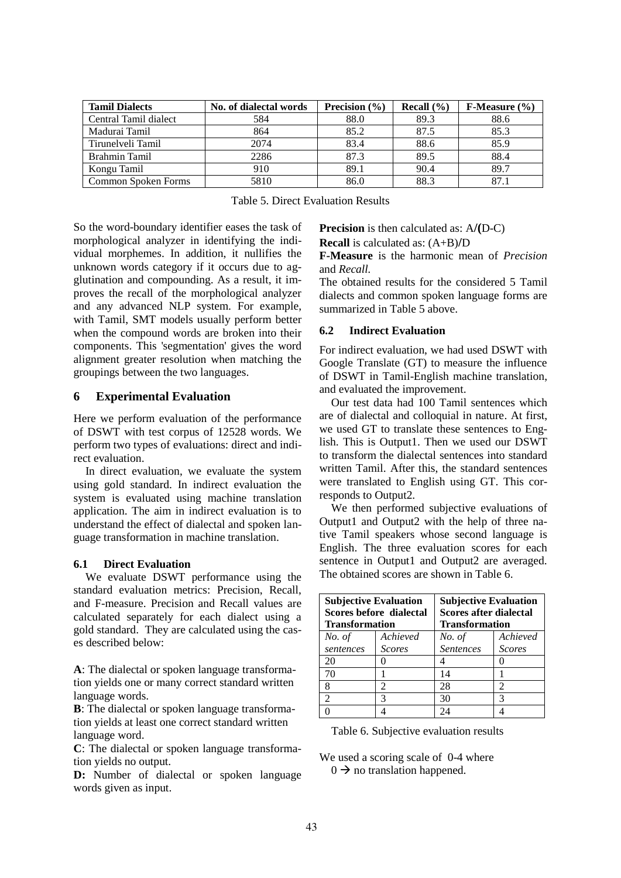| <b>Tamil Dialects</b> | No. of dialectal words | Precision $(\% )$ | Recall $(\% )$ | $F-Measure (%)$ |
|-----------------------|------------------------|-------------------|----------------|-----------------|
| Central Tamil dialect | 584                    | 88.0              | 89.3           | 88.6            |
| Madurai Tamil         | 864                    | 85.2              | 87.5           | 85.3            |
| Tirunelveli Tamil     | 2074                   | 83.4              | 88.6           | 85.9            |
| Brahmin Tamil         | 2286                   | 87.3              | 89.5           | 88.4            |
| Kongu Tamil           | 910                    | 89.1              | 90.4           | 89.7            |
| Common Spoken Forms   | 5810                   | 86.0              | 88.3           | 87.1            |

|  | <b>Table 5. Direct Evaluation Results</b> |  |
|--|-------------------------------------------|--|
|--|-------------------------------------------|--|

So the word-boundary identifier eases the task of morphological analyzer in identifying the individual morphemes. In addition, it nullifies the unknown words category if it occurs due to agglutination and compounding. As a result, it improves the recall of the morphological analyzer and any advanced NLP system. For example, with Tamil, SMT models usually perform better when the compound words are broken into their components. This 'segmentation' gives the word alignment greater resolution when matching the groupings between the two languages.

#### **6 Experimental Evaluation**

Here we perform evaluation of the performance of DSWT with test corpus of 12528 words. We perform two types of evaluations: direct and indirect evaluation.

In direct evaluation, we evaluate the system using gold standard. In indirect evaluation the system is evaluated using machine translation application. The aim in indirect evaluation is to understand the effect of dialectal and spoken language transformation in machine translation.

## **6.1 Direct Evaluation**

We evaluate DSWT performance using the standard evaluation metrics: Precision, Recall, and F-measure. Precision and Recall values are calculated separately for each dialect using a gold standard. They are calculated using the cases described below:

**A**: The dialectal or spoken language transformation yields one or many correct standard written language words.

**B**: The dialectal or spoken language transformation yields at least one correct standard written language word.

**C**: The dialectal or spoken language transformation yields no output.

**D:** Number of dialectal or spoken language words given as input.

**Precision** is then calculated as: A**/(**D-C)

**Recall** is calculated as: (A+B)**/**D

**F-Measure** is the harmonic mean of *Precision* and *Recall.*

The obtained results for the considered 5 Tamil dialects and common spoken language forms are summarized in Table 5 above.

#### **6.2 Indirect Evaluation**

For indirect evaluation, we had used DSWT with Google Translate (GT) to measure the influence of DSWT in Tamil-English machine translation, and evaluated the improvement.

Our test data had 100 Tamil sentences which are of dialectal and colloquial in nature. At first, we used GT to translate these sentences to English. This is Output1. Then we used our DSWT to transform the dialectal sentences into standard written Tamil. After this, the standard sentences were translated to English using GT. This corresponds to Output2.

We then performed subjective evaluations of Output1 and Output2 with the help of three native Tamil speakers whose second language is English. The three evaluation scores for each sentence in Output1 and Output2 are averaged. The obtained scores are shown in Table 6.

| <b>Subjective Evaluation</b><br>Scores before dialectal<br><b>Transformation</b> |                             | <b>Subjective Evaluation</b><br><b>Scores after dialectal</b><br><b>Transformation</b> |               |  |
|----------------------------------------------------------------------------------|-----------------------------|----------------------------------------------------------------------------------------|---------------|--|
| No. of                                                                           | Achieved                    | Achieved<br>No. of                                                                     |               |  |
| sentences                                                                        | <b>Scores</b>               | <b>Sentences</b>                                                                       | <b>Scores</b> |  |
| 20                                                                               |                             |                                                                                        |               |  |
| 70                                                                               |                             | 14                                                                                     |               |  |
|                                                                                  | $\mathcal{D}_{\mathcal{L}}$ | 28                                                                                     | 2             |  |
|                                                                                  | 3                           | 30                                                                                     | 3             |  |
|                                                                                  |                             | 7Δ                                                                                     |               |  |

Table 6. Subjective evaluation results

We used a scoring scale of 0-4 where  $0 \rightarrow$  no translation happened.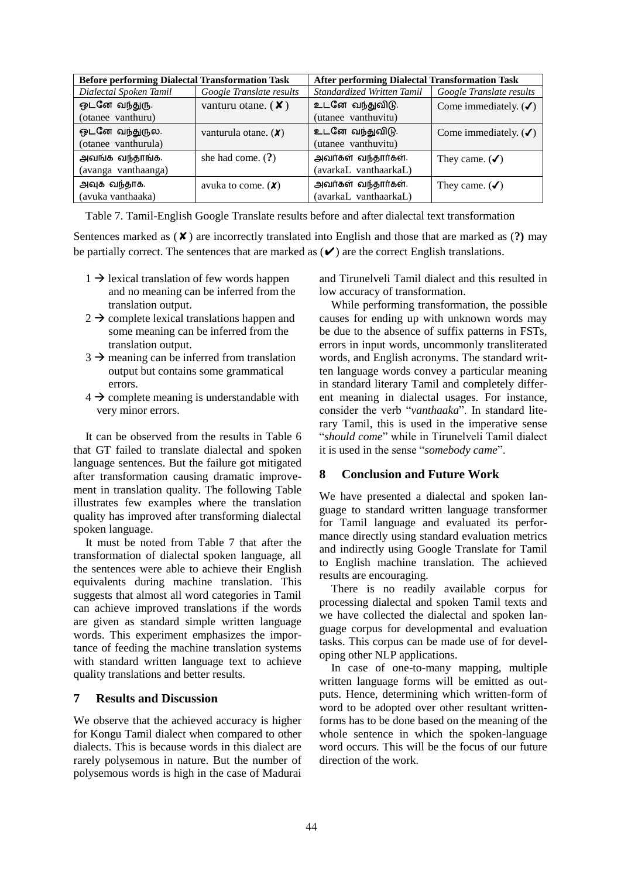| <b>Before performing Dialectal Transformation Task</b> |                                   | After performing Dialectal Transformation Task |                                  |  |
|--------------------------------------------------------|-----------------------------------|------------------------------------------------|----------------------------------|--|
| Dialectal Spoken Tamil                                 | Google Translate results          | Standardized Written Tamil                     | Google Translate results         |  |
| ஒடனே வந்துரு.                                          | vanturu otane. $(X)$              | உடனே வந்துவிடு.                                | Come immediately. $(\checkmark)$ |  |
| (otanee vanthuru)                                      |                                   | (utanee vanthuvitu)                            |                                  |  |
| ஒடனே வந்துருல.                                         | vanturula otane. $(X)$            | உடனே வந்துவிடு.                                | Come immediately. $(\checkmark)$ |  |
| (otanee vanthurula)                                    |                                   | (utanee vanthuvitu)                            |                                  |  |
| அவங்க வந்தாங்க.                                        | she had come. $(?)$               | அவர்கள் வந்தார்கள்.                            | They came. $(\checkmark)$        |  |
| (avanga vanthaanga)                                    |                                   | (avarkaL vanthaarkaL)                          |                                  |  |
| அவுக வந்தாக.                                           | avuka to come. $(\boldsymbol{X})$ | அவர்கள் வந்தார்கள்.                            | They came. $(\checkmark)$        |  |
| (avuka vanthaaka)                                      |                                   | (avarkaL vanthaarkaL)                          |                                  |  |

Table 7. Tamil-English Google Translate results before and after dialectal text transformation

Sentences marked as (✘) are incorrectly translated into English and those that are marked as (**?)** may be partially correct. The sentences that are marked as  $(V)$  are the correct English translations.

- $1 \rightarrow$  lexical translation of few words happen and no meaning can be inferred from the translation output.
- $2 \rightarrow$  complete lexical translations happen and some meaning can be inferred from the translation output.
- $3 \rightarrow$  meaning can be inferred from translation output but contains some grammatical errors.
- $4 \rightarrow$  complete meaning is understandable with very minor errors.

It can be observed from the results in Table 6 that GT failed to translate dialectal and spoken language sentences. But the failure got mitigated after transformation causing dramatic improvement in translation quality. The following Table illustrates few examples where the translation quality has improved after transforming dialectal spoken language.

It must be noted from Table 7 that after the transformation of dialectal spoken language, all the sentences were able to achieve their English equivalents during machine translation. This suggests that almost all word categories in Tamil can achieve improved translations if the words are given as standard simple written language words. This experiment emphasizes the importance of feeding the machine translation systems with standard written language text to achieve quality translations and better results.

#### **7 Results and Discussion**

We observe that the achieved accuracy is higher for Kongu Tamil dialect when compared to other dialects. This is because words in this dialect are rarely polysemous in nature. But the number of polysemous words is high in the case of Madurai and Tirunelveli Tamil dialect and this resulted in low accuracy of transformation.

While performing transformation, the possible causes for ending up with unknown words may be due to the absence of suffix patterns in FSTs, errors in input words, uncommonly transliterated words, and English acronyms. The standard written language words convey a particular meaning in standard literary Tamil and completely different meaning in dialectal usages. For instance, consider the verb "*vanthaaka*". In standard literary Tamil, this is used in the imperative sense "*should come*" while in Tirunelveli Tamil dialect it is used in the sense "*somebody came*".

#### **8 Conclusion and Future Work**

We have presented a dialectal and spoken language to standard written language transformer for Tamil language and evaluated its performance directly using standard evaluation metrics and indirectly using Google Translate for Tamil to English machine translation. The achieved results are encouraging.

There is no readily available corpus for processing dialectal and spoken Tamil texts and we have collected the dialectal and spoken language corpus for developmental and evaluation tasks. This corpus can be made use of for developing other NLP applications.

In case of one-to-many mapping, multiple written language forms will be emitted as outputs. Hence, determining which written-form of word to be adopted over other resultant writtenforms has to be done based on the meaning of the whole sentence in which the spoken-language word occurs. This will be the focus of our future direction of the work.